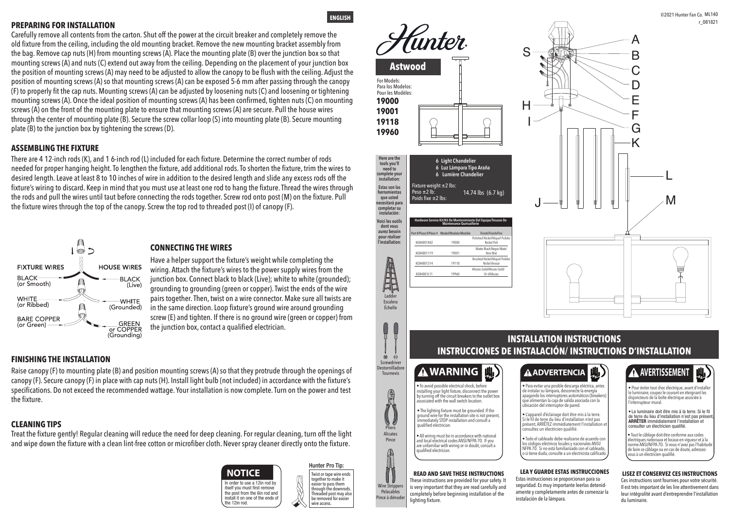## **INSTALLATION INSTRUCTIONS INSTRUCCIONES DE INSTALACIÓN/ INSTRUCTIONS D'INSTALLATION**

**dont vous aurez besoin pour réaliser l'installation:**

> Ladder Escalera Échelle

A

Pliers Alicates Pince

 $\mathcal{U}$ 

Rec

Wire Strippers Pelacables Pince à dénuder

#### **READ AND SAVE THESE INSTRUCTIONS**

These instructions are provided for your safety. It is very important that they are read carefully and completely before beginning installation of the lighting fixture.

• To avoid possible electrical shock, before installing your light fixture, disconnect the power by turning off the circuit breakers to the outlet box ssociated with the wall switch location

> **LEA Y GUARDE ESTAS INSTRUCCIONES**  Estas instrucciones se proporcionan para su seguridad. Es muy importante leerlas detenid amente y completamente antes de comenzar la instalación de la lámpara.

#### **LISEZ ET CONSERVEZ CES INSTRUCTIONS**

Ces instructions sont fournies pour votre sécurité. Il est très important de les lire attentivement dans leur intégralité avant d'entreprendre l'installation du luminaire.



• All wiring must be in accordance with national and local electrical codes ANSI/NFPA 70. If you are unfamiliar with wiring or in doubt, consult a qualified electrician.

*Tunter* S **Astwood** For Models: Para los Modelos: Pour les Modèles: **19000**  I H **19001 19118 19960 Here are the Light Chandelier 666 tools you'll Luz Lámpara Tipo Araña need to complete your Lumière Chandelier installation:** Fixture weight ±2 lbs: **Estas son las**  Peso ±2 lb: 14.74 lbs (6.7 kg) **herramientas que usted**  oids fixe  $\pm 2$  lbs: **necesitará para completar su instalación: Voici les outils Hardware Service Kit/Kit De Mantenimiento Del Equipo/Trousse De** 

> • The lighting fixture must be grounded. If the ground wire for the installation site is not present immediately STOP installation and consult a qualified electrician.

> > • Todo el cableado debe realizarse de acuerdo con los códigos eléctricos locales y nacionales ANSI/ NFPA 70. Si no está familiarizado con el cableado, o si tiene duda, consulte a un electricista calificado.

Polished Nickel/Níquel Puli Nickel Poli Matte Black/Negro Mate/ Noir Mat

KD84801214 KD84801L11

Brushed Nickel/Níquel Pulid Nickel Brossé Alturas Gold/Alturas Gold/ Or d'Alturas

## • **ADVERTENCIA**



# **A** AVERTISSEMENT



Finish/Finish/Fi

• Para evitar una posible descarga eléctrica, antes de instalar su lámpara, desconecte la energía apagando los interruptores automáticos (breakers) que alimentan la caja de salida asociada con la



• L'appareil d'éclairage doit être mis à la terre. Si le fil de terre du lieu d'installation n'est pas présent, ARRÊTEZ immédiatement l'installation et consultez un électricien qualifié.

• Tout le câblage doit être conforme aux codes électriques nationaux et locaux en vigueur et à la norme ANSI/NFPA 70. Si vous n'avez pas l'habitude de faire ce câblage ou en cas de doute, adressezvous à un électricien qualifié.

• Pour éviter tout choc électrique, avant d'installer le luminaire, coupez le courant en éteignant les disjoncteurs de la boîte électrique associée à l'interrupteur mural.

• Le luminaire doit être mis à la terre. Si le fil de terre du lieu d'installation n'est pas préser ARRÊTER immédiatement l'installation et consulter un électricien qualifié.

**Maintenance Quincaillerie**

**ENGLISH**

t #/Pieza #/Pièce #



Screwdriver **Destornillador** Tournevis

 $\otimes$  $\Theta$ 



J



KD84801842 KD84801119

### **FINISHING THE INSTALLATION**

**CONNECTING THE WIRES**

### **ASSEMBLING THE FIXTURE**

#### **PREPARING FOR INSTALLATION**

### **CLEANING TIPS**

Treat the fixture gently! Regular cleaning will reduce the need for deep cleaning. For regular cleaning, turn off the light and wipe down the fixture with a clean lint-free cotton or microfiber cloth. Never spray cleaner directly onto the fixture.

Carefully remove all contents from the carton. Shut off the power at the circuit breaker and completely remove the old fixture from the ceiling, including the old mounting bracket. Remove the new mounting bracket assembly from the bag. Remove cap nuts (H) from mounting screws (A). Place the mounting plate (B) over the junction box so that mounting screws (A) and nuts (C) extend out away from the ceiling. Depending on the placement of your junction box the position of mounting screws (A) may need to be adjusted to allow the canopy to be flush with the ceiling. Adjust the position of mounting screws (A) so that mounting screws (A) can be exposed 5-6 mm after passing through the canopy (F) to properly fit the cap nuts. Mounting screws (A) can be adjusted by loosening nuts (C) and loosening or tightening mounting screws (A). Once the ideal position of mounting screws (A) has been confirmed, tighten nuts (C) on mounting screws (A) on the front of the mounting plate to ensure that mounting screws (A) are secure. Pull the house wires through the center of mounting plate (B). Secure the screw collar loop (S) into mounting plate (B). Secure mounting plate (B) to the junction box by tightening the screws (D).

There are 4 12-inch rods (K), and 1 6-inch rod (L) included for each fixture. Determine the correct number of rods needed for proper hanging height. To lengthen the fixture, add additional rods. To shorten the fixture, trim the wires to desired length. Leave at least 8 to 10 inches of wire in addition to the desired length and slide any excess rods off the fixture's wiring to discard. Keep in mind that you must use at least one rod to hang the fixture. Thread the wires through the rods and pull the wires until taut before connecting the rods together. Screw rod onto post (M) on the fixture. Pull the fixture wires through the top of the canopy. Screw the top rod to threaded post (I) of canopy (F).



Have a helper support the fixture's weight while completing the wiring. Attach the fixture's wires to the power supply wires from the junction box. Connect black to black (Live); white to white (grounded); grounding to grounding (green or copper). Twist the ends of the wire pairs together. Then, twist on a wire connector. Make sure all twists are in the same direction. Loop fixture's ground wire around grounding screw (E) and tighten. If there is no ground wire (green or copper) from the junction box, contact a qualified electrician.

Raise canopy (F) to mounting plate (B) and position mounting screws (A) so that they protrude through the openings of canopy (F). Secure canopy (F) in place with cap nuts (H). Install light bulb (not included) in accordance with the fixture's specifications. Do not exceed the recommended wattage. Your installation is now complete. Turn on the power and test the fixture.